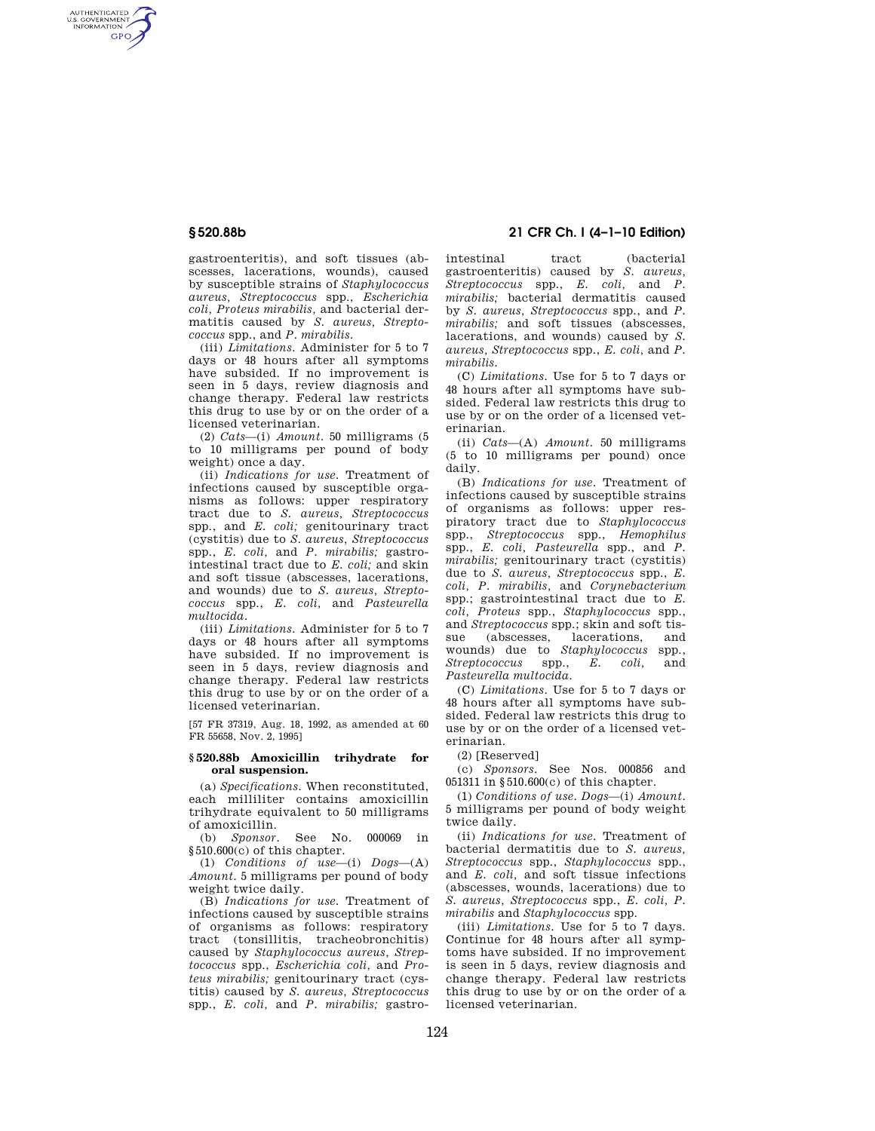AUTHENTICATED<br>U.S. GOVERNMENT<br>INFORMATION **GPO** 

> gastroenteritis), and soft tissues (abscesses, lacerations, wounds), caused by susceptible strains of *Staphylococcus aureus, Streptococcus* spp., *Escherichia coli, Proteus mirabilis,* and bacterial dermatitis caused by *S. aureus, Streptococcus* spp., and *P. mirabilis.*

> (iii) *Limitations.* Administer for 5 to 7 days or 48 hours after all symptoms have subsided. If no improvement is seen in 5 days, review diagnosis and change therapy. Federal law restricts this drug to use by or on the order of a licensed veterinarian.

(2) *Cats*—(i) *Amount.* 50 milligrams (5 to 10 milligrams per pound of body weight) once a day.

(ii) *Indications for use.* Treatment of infections caused by susceptible organisms as follows: upper respiratory tract due to *S. aureus, Streptococcus*  spp., and *E. coli;* genitourinary tract (cystitis) due to *S. aureus, Streptococcus*  spp., *E. coli,* and *P. mirabilis;* gastrointestinal tract due to *E. coli;* and skin and soft tissue (abscesses, lacerations, and wounds) due to *S. aureus, Streptococcus* spp., *E. coli,* and *Pasteurella multocida.* 

(iii) *Limitations.* Administer for 5 to 7 days or 48 hours after all symptoms have subsided. If no improvement is seen in 5 days, review diagnosis and change therapy. Federal law restricts this drug to use by or on the order of a licensed veterinarian.

[57 FR 37319, Aug. 18, 1992, as amended at 60 FR 55658, Nov. 2, 1995]

## **§ 520.88b Amoxicillin trihydrate for oral suspension.**

(a) *Specifications.* When reconstituted, each milliliter contains amoxicillin trihydrate equivalent to 50 milligrams of amoxicillin.<br>(b) Sponsor

(b) *Sponsor.* See No. 000069 in §510.600(c) of this chapter.

(1) *Conditions of use*—(i) *Dogs*—(A) *Amount.* 5 milligrams per pound of body weight twice daily.

(B) *Indications for use.* Treatment of infections caused by susceptible strains of organisms as follows: respiratory tract (tonsillitis, tracheobronchitis) caused by *Staphylococcus aureus, Streptococcus* spp., *Escherichia coli,* and *Proteus mirabilis;* genitourinary tract (cystitis) caused by *S. aureus, Streptococcus*  spp., *E. coli,* and *P. mirabilis;* gastro-

**§ 520.88b 21 CFR Ch. I (4–1–10 Edition)** 

intestinal tract (bacterial gastroenteritis) caused by *S. aureus, Streptococcus* spp., *E. coli,* and *P. mirabilis;* bacterial dermatitis caused by *S. aureus, Streptococcus* spp., and *P. mirabilis;* and soft tissues (abscesses, lacerations, and wounds) caused by *S. aureus, Streptococcus* spp., *E. coli,* and *P. mirabilis.* 

(C) *Limitations.* Use for 5 to 7 days or 48 hours after all symptoms have subsided. Federal law restricts this drug to use by or on the order of a licensed veterinarian.

(ii) *Cats*—(A) *Amount.* 50 milligrams (5 to 10 milligrams per pound) once daily.

(B) *Indications for use.* Treatment of infections caused by susceptible strains of organisms as follows: upper respiratory tract due to *Staphylococcus*  spp., *Streptococcus* spp., *Hemophilus*  spp., *E. coli, Pasteurella* spp., and *P. mirabilis;* genitourinary tract (cystitis) due to *S. aureus, Streptococcus* spp., *E. coli, P. mirabilis,* and *Corynebacterium*  spp.; gastrointestinal tract due to *E. coli, Proteus* spp., *Staphylococcus* spp., and *Streptococcus* spp.; skin and soft tissue (abscesses, lacerations, and wounds) due to *Staphylococcus* spp., *Streptococcus* spp., *E. coli,* and *Pasteurella multocida.* 

(C) *Limitations*. Use for 5 to 7 days or 48 hours after all symptoms have subsided. Federal law restricts this drug to use by or on the order of a licensed veterinarian.

(2) [Reserved]

(c) *Sponsors*. See Nos. 000856 and 051311 in §510.600(c) of this chapter.

(1) *Conditions of use*. *Dogs*—(i) *Amount*. 5 milligrams per pound of body weight twice daily.

(ii) *Indications for use*. Treatment of bacterial dermatitis due to *S. aureus, Streptococcus* spp., *Staphylococcus* spp., and *E. coli,* and soft tissue infections (abscesses, wounds, lacerations) due to *S. aureus, Streptococcus* spp., *E. coli, P. mirabilis* and *Staphylococcus* spp.

(iii) *Limitations*. Use for 5 to 7 days. Continue for 48 hours after all symptoms have subsided. If no improvement is seen in 5 days, review diagnosis and change therapy. Federal law restricts this drug to use by or on the order of a licensed veterinarian.